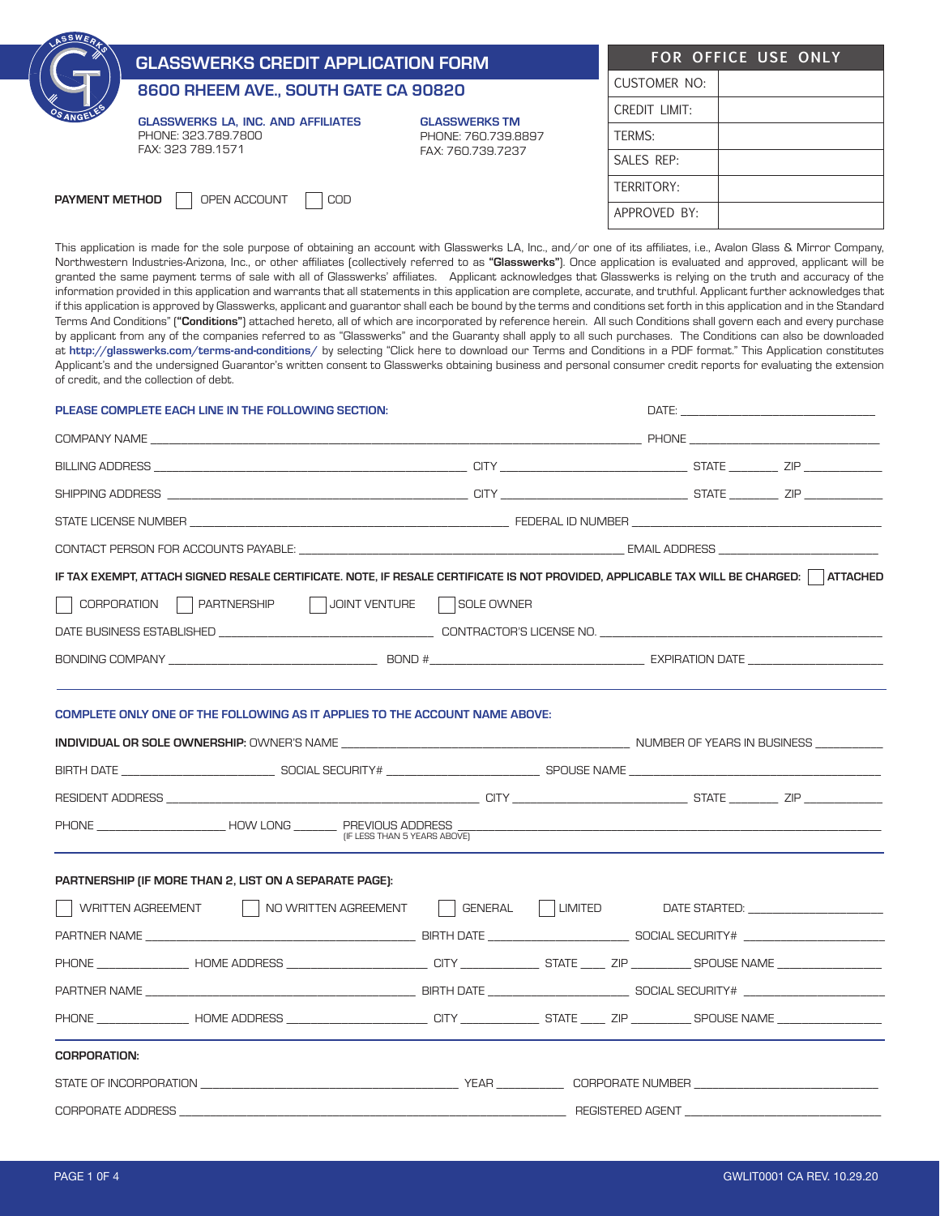| A <sub>24</sub> PO    | <b>GLASSWERKS CREDIT APPLICATION FORM</b>                                             | FOR OFFICE USE ONLY                                              |               |  |
|-----------------------|---------------------------------------------------------------------------------------|------------------------------------------------------------------|---------------|--|
|                       | 8600 RHEEM AVE., SOUTH GATE CA 90820                                                  |                                                                  | CUSTOMER NO:  |  |
|                       | <b>GLASSWERKS LA. INC. AND AFFILIATES</b><br>PHONE: 323,789,7800<br>FAX: 323 789.1571 | <b>GLASSWERKS TM</b><br>PHONE: 760.739.8897<br>FAX: 760.739.7237 | CREDIT LIMIT: |  |
|                       |                                                                                       |                                                                  | TERMS:        |  |
|                       |                                                                                       |                                                                  | SALES REP:    |  |
| <b>PAYMENT METHOD</b> | OPEN ACCOUNT<br>COD                                                                   |                                                                  | TERRITORY:    |  |
|                       |                                                                                       |                                                                  | APPROVED BY:  |  |
|                       |                                                                                       |                                                                  |               |  |

This application is made for the sole purpose of obtaining an account with Glasswerks LA, Inc., and/or one of its affiliates, i.e., Avalon Glass & Mirror Company, Northwestern Industries-Arizona, Inc., or other affiliates (collectively referred to as "Glasswerks"). Once application is evaluated and approved, applicant will be granted the same payment terms of sale with all of Glasswerks' affiliates. Applicant acknowledges that Glasswerks is relying on the truth and accuracy of the information provided in this application and warrants that all statements in this application are complete, accurate, and truthful. Applicant further acknowledges that if this application is approved by Glasswerks, applicant and guarantor shall each be bound by the terms and conditions set forth in this application and in the Standard Terms And Conditions" ("Conditions") attached hereto, all of which are incorporated by reference herein. All such Conditions shall govern each and every purchase by applicant from any of the companies referred to as "Glasswerks" and the Guaranty shall apply to all such purchases. The Conditions can also be downloaded at http://glasswerks.com/terms-and-conditions/ by selecting "Click here to download our Terms and Conditions in a PDF format." This Application constitutes Applicant's and the undersigned Guarantor's written consent to Glasswerks obtaining business and personal consumer credit reports for evaluating the extension of credit, and the collection of debt.

| PLEASE COMPLETE EACH LINE IN THE FOLLOWING SECTION:                                                                                    |                                                                                                                        |  |  |                  |  |  |  |
|----------------------------------------------------------------------------------------------------------------------------------------|------------------------------------------------------------------------------------------------------------------------|--|--|------------------|--|--|--|
|                                                                                                                                        |                                                                                                                        |  |  |                  |  |  |  |
|                                                                                                                                        |                                                                                                                        |  |  |                  |  |  |  |
|                                                                                                                                        |                                                                                                                        |  |  |                  |  |  |  |
|                                                                                                                                        |                                                                                                                        |  |  |                  |  |  |  |
|                                                                                                                                        |                                                                                                                        |  |  |                  |  |  |  |
| IF TAX EXEMPT, ATTACH SIGNED RESALE CERTIFICATE. NOTE, IF RESALE CERTIFICATE IS NOT PROVIDED, APPLICABLE TAX WILL BE CHARGED: ATTACHED |                                                                                                                        |  |  |                  |  |  |  |
| CORPORATION PARTNERSHIP JUDINT VENTURE SOLE OWNER                                                                                      |                                                                                                                        |  |  |                  |  |  |  |
|                                                                                                                                        |                                                                                                                        |  |  |                  |  |  |  |
|                                                                                                                                        |                                                                                                                        |  |  |                  |  |  |  |
|                                                                                                                                        |                                                                                                                        |  |  |                  |  |  |  |
| COMPLETE ONLY ONE OF THE FOLLOWING AS IT APPLIES TO THE ACCOUNT NAME ABOVE:                                                            |                                                                                                                        |  |  |                  |  |  |  |
|                                                                                                                                        |                                                                                                                        |  |  |                  |  |  |  |
|                                                                                                                                        |                                                                                                                        |  |  |                  |  |  |  |
|                                                                                                                                        |                                                                                                                        |  |  |                  |  |  |  |
|                                                                                                                                        |                                                                                                                        |  |  |                  |  |  |  |
|                                                                                                                                        |                                                                                                                        |  |  |                  |  |  |  |
| PARTNERSHIP (IF MORE THAN 2, LIST ON A SEPARATE PAGE):                                                                                 |                                                                                                                        |  |  |                  |  |  |  |
|                                                                                                                                        |                                                                                                                        |  |  |                  |  |  |  |
|                                                                                                                                        |                                                                                                                        |  |  |                  |  |  |  |
|                                                                                                                                        |                                                                                                                        |  |  |                  |  |  |  |
|                                                                                                                                        |                                                                                                                        |  |  |                  |  |  |  |
|                                                                                                                                        |                                                                                                                        |  |  |                  |  |  |  |
| <b>CORPORATION:</b>                                                                                                                    |                                                                                                                        |  |  |                  |  |  |  |
|                                                                                                                                        |                                                                                                                        |  |  |                  |  |  |  |
| CORPORATE ADDRESS                                                                                                                      | <u> 1989 - Johann John Stoff, deutscher Stoffen und der Stoffen und der Stoffen und der Stoffen und der Stoffen un</u> |  |  | REGISTERED AGENT |  |  |  |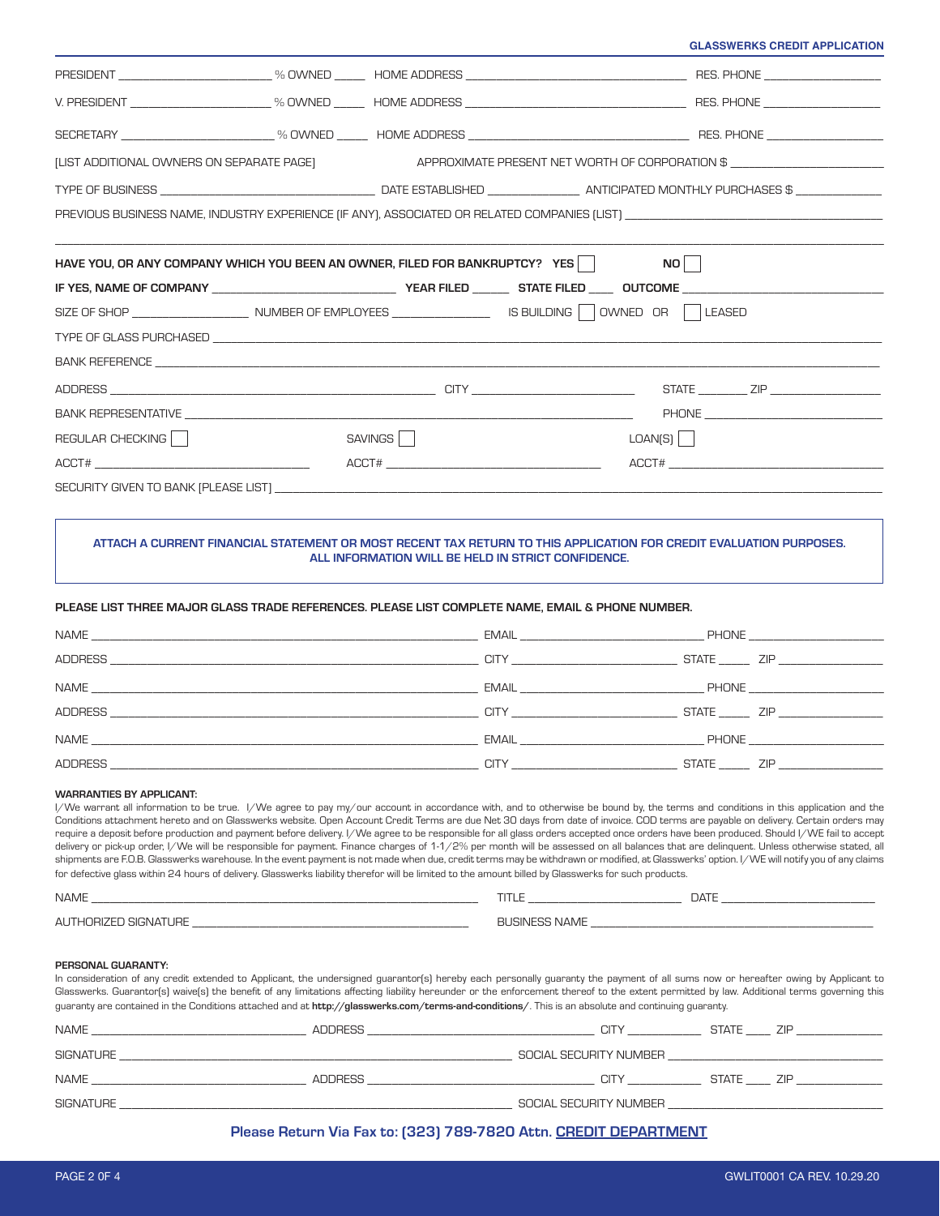**GLASSWERKS CREDIT APPLICATION**

| <b>ILIST ADDITIONAL OWNERS ON SEPARATE PAGET</b>                                                                                                                                        | APPROXIMATE PRESENT NET WORTH OF CORPORATION \$                                                                                                                                                                                                                                                                                                                                                                                                                                                                                                                                                                                                                                                                                                                                                                                                                                                                                                          |                                |      |  |
|-----------------------------------------------------------------------------------------------------------------------------------------------------------------------------------------|----------------------------------------------------------------------------------------------------------------------------------------------------------------------------------------------------------------------------------------------------------------------------------------------------------------------------------------------------------------------------------------------------------------------------------------------------------------------------------------------------------------------------------------------------------------------------------------------------------------------------------------------------------------------------------------------------------------------------------------------------------------------------------------------------------------------------------------------------------------------------------------------------------------------------------------------------------|--------------------------------|------|--|
|                                                                                                                                                                                         |                                                                                                                                                                                                                                                                                                                                                                                                                                                                                                                                                                                                                                                                                                                                                                                                                                                                                                                                                          |                                |      |  |
|                                                                                                                                                                                         |                                                                                                                                                                                                                                                                                                                                                                                                                                                                                                                                                                                                                                                                                                                                                                                                                                                                                                                                                          |                                |      |  |
|                                                                                                                                                                                         |                                                                                                                                                                                                                                                                                                                                                                                                                                                                                                                                                                                                                                                                                                                                                                                                                                                                                                                                                          |                                |      |  |
| HAVE YOU, OR ANY COMPANY WHICH YOU BEEN AN OWNER, FILED FOR BANKRUPTCY? YES                                                                                                             |                                                                                                                                                                                                                                                                                                                                                                                                                                                                                                                                                                                                                                                                                                                                                                                                                                                                                                                                                          |                                | NO I |  |
|                                                                                                                                                                                         |                                                                                                                                                                                                                                                                                                                                                                                                                                                                                                                                                                                                                                                                                                                                                                                                                                                                                                                                                          |                                |      |  |
|                                                                                                                                                                                         |                                                                                                                                                                                                                                                                                                                                                                                                                                                                                                                                                                                                                                                                                                                                                                                                                                                                                                                                                          |                                |      |  |
|                                                                                                                                                                                         |                                                                                                                                                                                                                                                                                                                                                                                                                                                                                                                                                                                                                                                                                                                                                                                                                                                                                                                                                          |                                |      |  |
|                                                                                                                                                                                         |                                                                                                                                                                                                                                                                                                                                                                                                                                                                                                                                                                                                                                                                                                                                                                                                                                                                                                                                                          |                                |      |  |
|                                                                                                                                                                                         |                                                                                                                                                                                                                                                                                                                                                                                                                                                                                                                                                                                                                                                                                                                                                                                                                                                                                                                                                          |                                |      |  |
|                                                                                                                                                                                         |                                                                                                                                                                                                                                                                                                                                                                                                                                                                                                                                                                                                                                                                                                                                                                                                                                                                                                                                                          |                                |      |  |
| REGULAR CHECKING                                                                                                                                                                        | SAVINGS <sup></sup>                                                                                                                                                                                                                                                                                                                                                                                                                                                                                                                                                                                                                                                                                                                                                                                                                                                                                                                                      | LOAN(S)                        |      |  |
|                                                                                                                                                                                         |                                                                                                                                                                                                                                                                                                                                                                                                                                                                                                                                                                                                                                                                                                                                                                                                                                                                                                                                                          |                                |      |  |
|                                                                                                                                                                                         |                                                                                                                                                                                                                                                                                                                                                                                                                                                                                                                                                                                                                                                                                                                                                                                                                                                                                                                                                          |                                |      |  |
| ATTACH A CURRENT FINANCIAL STATEMENT OR MOST RECENT TAX RETURN TO THIS APPLICATION FOR CREDIT EVALUATION PURPOSES.                                                                      | ALL INFORMATION WILL BE HELD IN STRICT CONFIDENCE.                                                                                                                                                                                                                                                                                                                                                                                                                                                                                                                                                                                                                                                                                                                                                                                                                                                                                                       |                                |      |  |
| PLEASE LIST THREE MAJOR GLASS TRADE REFERENCES. PLEASE LIST COMPLETE NAME, EMAIL & PHONE NUMBER.                                                                                        |                                                                                                                                                                                                                                                                                                                                                                                                                                                                                                                                                                                                                                                                                                                                                                                                                                                                                                                                                          |                                |      |  |
|                                                                                                                                                                                         |                                                                                                                                                                                                                                                                                                                                                                                                                                                                                                                                                                                                                                                                                                                                                                                                                                                                                                                                                          |                                |      |  |
|                                                                                                                                                                                         |                                                                                                                                                                                                                                                                                                                                                                                                                                                                                                                                                                                                                                                                                                                                                                                                                                                                                                                                                          |                                |      |  |
|                                                                                                                                                                                         |                                                                                                                                                                                                                                                                                                                                                                                                                                                                                                                                                                                                                                                                                                                                                                                                                                                                                                                                                          |                                |      |  |
| NAME                                                                                                                                                                                    |                                                                                                                                                                                                                                                                                                                                                                                                                                                                                                                                                                                                                                                                                                                                                                                                                                                                                                                                                          | <b>EMAIL EMAIL EMAIL EMAIL</b> |      |  |
|                                                                                                                                                                                         |                                                                                                                                                                                                                                                                                                                                                                                                                                                                                                                                                                                                                                                                                                                                                                                                                                                                                                                                                          |                                |      |  |
| <b>WARRANTIES BY APPLICANT:</b><br>for defective glass within 24 hours of delivery. Glasswerks liability therefor will be limited to the amount billed by Glasswerks for such products. | I/We warrant all information to be true. I/We agree to pay my/our account in accordance with, and to otherwise be bound by, the terms and conditions in this application and the<br>Conditions attachment hereto and on Glasswerks website. Open Account Credit Terms are due Net 30 days from date of invoice. COD terms are payable on delivery. Certain orders may<br>require a deposit before production and payment before delivery. I/We agree to be responsible for all glass orders accepted once orders have been produced. Should I/WE fail to accept<br>delivery or pick-up order, I/We will be responsible for payment. Finance charges of 1-1/2% per month will be assessed on all balances that are delinquent. Unless otherwise stated, all<br>shipments are F.O.B. Glasswerks warehouse. In the event payment is not made when due, credit terms may be withdrawn or modified, at Glasswerks' option. I/WE will notify you of any claims |                                |      |  |
|                                                                                                                                                                                         |                                                                                                                                                                                                                                                                                                                                                                                                                                                                                                                                                                                                                                                                                                                                                                                                                                                                                                                                                          |                                |      |  |
| AUTHORIZED SIGNATURE <b>AUTHORIZED</b> SIGNATURE                                                                                                                                        |                                                                                                                                                                                                                                                                                                                                                                                                                                                                                                                                                                                                                                                                                                                                                                                                                                                                                                                                                          |                                |      |  |
| PERSONAL GUARANTY:                                                                                                                                                                      | In consideration of any credit extended to Applicant, the undersigned guarantor(s) hereby each personally guaranty the payment of all sums now or hereafter owing by Applicant to<br>Glasswerks. Guarantor(s) waive(s) the benefit of any limitations affecting liability hereunder or the enforcement thereof to the extent permitted by law. Additional terms governing this<br>guaranty are contained in the Conditions attached and at http://glasswerks.com/terms-and-conditions/. This is an absolute and continuing guaranty.                                                                                                                                                                                                                                                                                                                                                                                                                     |                                |      |  |
|                                                                                                                                                                                         |                                                                                                                                                                                                                                                                                                                                                                                                                                                                                                                                                                                                                                                                                                                                                                                                                                                                                                                                                          |                                |      |  |
|                                                                                                                                                                                         |                                                                                                                                                                                                                                                                                                                                                                                                                                                                                                                                                                                                                                                                                                                                                                                                                                                                                                                                                          |                                |      |  |
|                                                                                                                                                                                         |                                                                                                                                                                                                                                                                                                                                                                                                                                                                                                                                                                                                                                                                                                                                                                                                                                                                                                                                                          |                                |      |  |

## Please Return Via Fax to: (323) 789-7820 Attn. CREDIT DEPARTMENT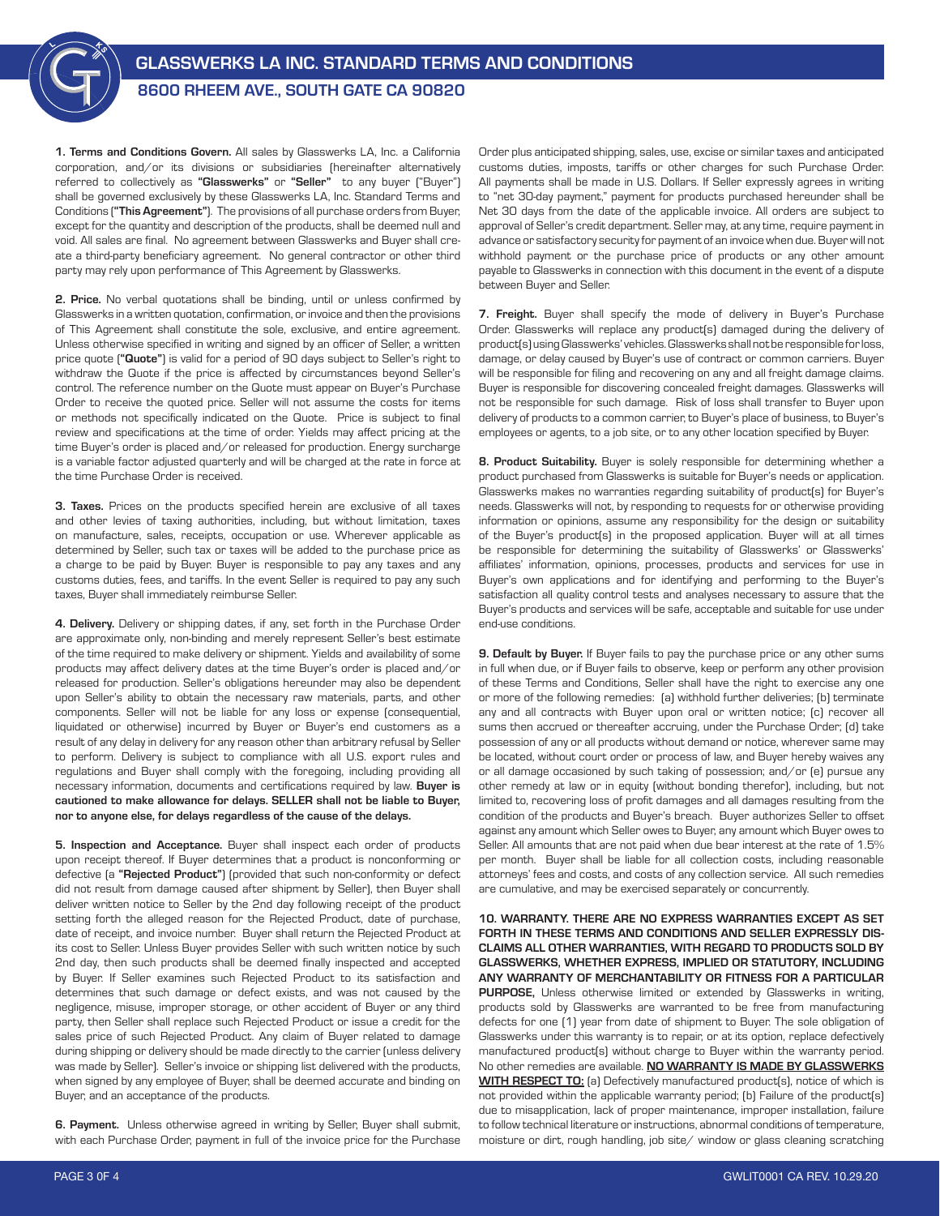## GLASSWERKS LA INC. STANDARD TERMS AND CONDITIONS

## 8600 RHEEM AVE., SOUTH GATE CA 90820

1. Terms and Conditions Govern. All sales by Glasswerks LA, Inc. a California corporation, and/or its divisions or subsidiaries (hereinafter alternatively referred to collectively as "Glasswerks" or "Seller" to any buyer ("Buyer") shall be governed exclusively by these Glasswerks LA, Inc. Standard Terms and Conditions ("This Agreement"). The provisions of all purchase orders from Buyer, except for the quantity and description of the products, shall be deemed null and void. All sales are final. No agreement between Glasswerks and Buyer shall create a third-party beneficiary agreement. No general contractor or other third party may rely upon performance of This Agreement by Glasswerks.

2. Price. No verbal quotations shall be binding, until or unless confirmed by Glasswerks in a written quotation, confirmation, or invoice and then the provisions of This Agreement shall constitute the sole, exclusive, and entire agreement. Unless otherwise specified in writing and signed by an officer of Seller, a written price quote ("Quote") is valid for a period of 90 days subject to Seller's right to withdraw the Quote if the price is affected by circumstances beyond Seller's control. The reference number on the Quote must appear on Buyer's Purchase Order to receive the quoted price. Seller will not assume the costs for items or methods not specifically indicated on the Quote. Price is subject to final review and specifications at the time of order. Yields may affect pricing at the time Buyer's order is placed and/or released for production. Energy surcharge is a variable factor adjusted quarterly and will be charged at the rate in force at the time Purchase Order is received.

3. Taxes. Prices on the products specified herein are exclusive of all taxes and other levies of taxing authorities, including, but without limitation, taxes on manufacture, sales, receipts, occupation or use. Wherever applicable as determined by Seller, such tax or taxes will be added to the purchase price as a charge to be paid by Buyer. Buyer is responsible to pay any taxes and any customs duties, fees, and tariffs. In the event Seller is required to pay any such taxes, Buyer shall immediately reimburse Seller.

4. Delivery. Delivery or shipping dates, if any, set forth in the Purchase Order are approximate only, non-binding and merely represent Seller's best estimate of the time required to make delivery or shipment. Yields and availability of some products may affect delivery dates at the time Buyer's order is placed and/or released for production. Seller's obligations hereunder may also be dependent upon Seller's ability to obtain the necessary raw materials, parts, and other components. Seller will not be liable for any loss or expense (consequential, liquidated or otherwise) incurred by Buyer or Buyer's end customers as a result of any delay in delivery for any reason other than arbitrary refusal by Seller to perform. Delivery is subject to compliance with all U.S. export rules and regulations and Buyer shall comply with the foregoing, including providing all necessary information, documents and certifications required by law. Buyer is cautioned to make allowance for delays. SELLER shall not be liable to Buyer, nor to anyone else, for delays regardless of the cause of the delays.

5. Inspection and Acceptance. Buyer shall inspect each order of products upon receipt thereof. If Buyer determines that a product is nonconforming or defective (a "Rejected Product") (provided that such non-conformity or defect did not result from damage caused after shipment by Seller), then Buyer shall deliver written notice to Seller by the 2nd day following receipt of the product setting forth the alleged reason for the Rejected Product, date of purchase, date of receipt, and invoice number. Buyer shall return the Rejected Product at its cost to Seller. Unless Buyer provides Seller with such written notice by such 2nd day, then such products shall be deemed finally inspected and accepted by Buyer. If Seller examines such Rejected Product to its satisfaction and determines that such damage or defect exists, and was not caused by the negligence, misuse, improper storage, or other accident of Buyer or any third party, then Seller shall replace such Rejected Product or issue a credit for the sales price of such Rejected Product. Any claim of Buyer related to damage during shipping or delivery should be made directly to the carrier (unless delivery was made by Seller). Seller's invoice or shipping list delivered with the products, when signed by any employee of Buyer, shall be deemed accurate and binding on Buyer, and an acceptance of the products.

6. Payment. Unless otherwise agreed in writing by Seller, Buyer shall submit, with each Purchase Order, payment in full of the invoice price for the Purchase Order plus anticipated shipping, sales, use, excise or similar taxes and anticipated customs duties, imposts, tariffs or other charges for such Purchase Order. All payments shall be made in U.S. Dollars. If Seller expressly agrees in writing to "net 30-day payment," payment for products purchased hereunder shall be Net 30 days from the date of the applicable invoice. All orders are subject to approval of Seller's credit department. Seller may, at any time, require payment in advance or satisfactory security for payment of an invoice when due. Buyer will not withhold payment or the purchase price of products or any other amount payable to Glasswerks in connection with this document in the event of a dispute between Buyer and Seller.

7. Freight. Buyer shall specify the mode of delivery in Buyer's Purchase Order. Glasswerks will replace any product(s) damaged during the delivery of product(s) using Glasswerks' vehicles. Glasswerks shall not be responsible for loss, damage, or delay caused by Buyer's use of contract or common carriers. Buyer will be responsible for filing and recovering on any and all freight damage claims. Buyer is responsible for discovering concealed freight damages. Glasswerks will not be responsible for such damage. Risk of loss shall transfer to Buyer upon delivery of products to a common carrier, to Buyer's place of business, to Buyer's employees or agents, to a job site, or to any other location specified by Buyer.

8. Product Suitability. Buyer is solely responsible for determining whether a product purchased from Glasswerks is suitable for Buyer's needs or application. Glasswerks makes no warranties regarding suitability of product(s) for Buyer's needs. Glasswerks will not, by responding to requests for or otherwise providing information or opinions, assume any responsibility for the design or suitability of the Buyer's product(s) in the proposed application. Buyer will at all times be responsible for determining the suitability of Glasswerks' or Glasswerks' affiliates' information, opinions, processes, products and services for use in Buyer's own applications and for identifying and performing to the Buyer's satisfaction all quality control tests and analyses necessary to assure that the Buyer's products and services will be safe, acceptable and suitable for use under end-use conditions.

**9. Default by Buyer.** If Buyer fails to pay the purchase price or any other sums in full when due, or if Buyer fails to observe, keep or perform any other provision of these Terms and Conditions, Seller shall have the right to exercise any one or more of the following remedies: (a) withhold further deliveries; (b) terminate any and all contracts with Buyer upon oral or written notice; (c) recover all sums then accrued or thereafter accruing, under the Purchase Order; (d) take possession of any or all products without demand or notice, wherever same may be located, without court order or process of law, and Buyer hereby waives any or all damage occasioned by such taking of possession; and/or (e) pursue any other remedy at law or in equity (without bonding therefor), including, but not limited to, recovering loss of profit damages and all damages resulting from the condition of the products and Buyer's breach. Buyer authorizes Seller to offset against any amount which Seller owes to Buyer, any amount which Buyer owes to Seller. All amounts that are not paid when due bear interest at the rate of 1.5% per month. Buyer shall be liable for all collection costs, including reasonable attorneys' fees and costs, and costs of any collection service. All such remedies are cumulative, and may be exercised separately or concurrently.

10. WARRANTY. THERE ARE NO EXPRESS WARRANTIES EXCEPT AS SET FORTH IN THESE TERMS AND CONDITIONS AND SELLER EXPRESSLY DIS-CLAIMS ALL OTHER WARRANTIES, WITH REGARD TO PRODUCTS SOLD BY GLASSWERKS, WHETHER EXPRESS, IMPLIED OR STATUTORY, INCLUDING ANY WARRANTY OF MERCHANTABILITY OR FITNESS FOR A PARTICULAR PURPOSE, Unless otherwise limited or extended by Glasswerks in writing, products sold by Glasswerks are warranted to be free from manufacturing defects for one (1) year from date of shipment to Buyer. The sole obligation of Glasswerks under this warranty is to repair, or at its option, replace defectively manufactured product(s) without charge to Buyer within the warranty period. No other remedies are available. NO WARRANTY IS MADE BY GLASSWERKS **WITH RESPECT TO:** [a] Defectively manufactured product(s), notice of which is not provided within the applicable warranty period; (b) Failure of the product(s) due to misapplication, lack of proper maintenance, improper installation, failure to follow technical literature or instructions, abnormal conditions of temperature, moisture or dirt, rough handling, job site/ window or glass cleaning scratching